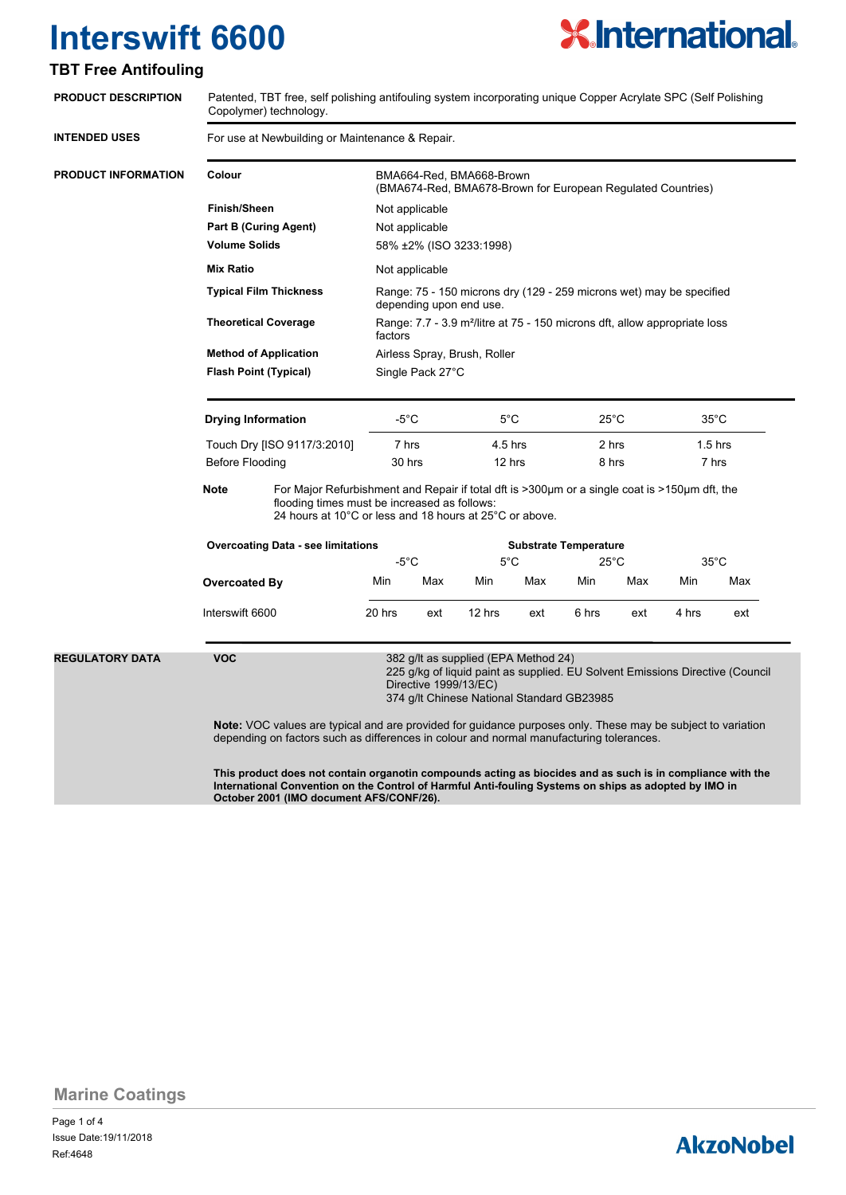

### **TBT Free Antifouling**

| <b>PRODUCT DESCRIPTION</b> | Patented, TBT free, self polishing antifouling system incorporating unique Copper Acrylate SPC (Self Polishing<br>Copolymer) technology.                                                                                                                        |                                                |                                                                                                   |                              |                              |                   |                |                |                |                    |  |
|----------------------------|-----------------------------------------------------------------------------------------------------------------------------------------------------------------------------------------------------------------------------------------------------------------|------------------------------------------------|---------------------------------------------------------------------------------------------------|------------------------------|------------------------------|-------------------|----------------|----------------|----------------|--------------------|--|
| <b>INTENDED USES</b>       | For use at Newbuilding or Maintenance & Repair.                                                                                                                                                                                                                 |                                                |                                                                                                   |                              |                              |                   |                |                |                |                    |  |
| <b>PRODUCT INFORMATION</b> | Colour                                                                                                                                                                                                                                                          |                                                | BMA664-Red, BMA668-Brown<br>(BMA674-Red, BMA678-Brown for European Regulated Countries)           |                              |                              |                   |                |                |                |                    |  |
|                            | <b>Finish/Sheen</b>                                                                                                                                                                                                                                             |                                                | Not applicable                                                                                    |                              |                              |                   |                |                |                |                    |  |
|                            | <b>Part B (Curing Agent)</b>                                                                                                                                                                                                                                    |                                                | Not applicable                                                                                    |                              |                              |                   |                |                |                |                    |  |
|                            | <b>Volume Solids</b>                                                                                                                                                                                                                                            |                                                | 58% ±2% (ISO 3233:1998)                                                                           |                              |                              |                   |                |                |                |                    |  |
|                            | <b>Mix Ratio</b>                                                                                                                                                                                                                                                |                                                | Not applicable                                                                                    |                              |                              |                   |                |                |                |                    |  |
|                            | <b>Typical Film Thickness</b>                                                                                                                                                                                                                                   |                                                | Range: 75 - 150 microns dry (129 - 259 microns wet) may be specified<br>depending upon end use.   |                              |                              |                   |                |                |                |                    |  |
|                            | <b>Theoretical Coverage</b>                                                                                                                                                                                                                                     |                                                | Range: 7.7 - 3.9 m <sup>2</sup> /litre at 75 - 150 microns dft, allow appropriate loss<br>factors |                              |                              |                   |                |                |                |                    |  |
|                            |                                                                                                                                                                                                                                                                 | <b>Method of Application</b>                   |                                                                                                   | Airless Spray, Brush, Roller |                              |                   |                |                |                |                    |  |
|                            | <b>Flash Point (Typical)</b>                                                                                                                                                                                                                                    |                                                | Single Pack 27°C                                                                                  |                              |                              |                   |                |                |                |                    |  |
|                            | <b>Drying Information</b>                                                                                                                                                                                                                                       |                                                | -5°C                                                                                              |                              | 5°C                          |                   | $25^{\circ}$ C |                | $35^{\circ}$ C |                    |  |
|                            |                                                                                                                                                                                                                                                                 | Touch Dry [ISO 9117/3:2010]<br>Before Flooding |                                                                                                   | 7 hrs<br>30 hrs              |                              | 4.5 hrs<br>12 hrs |                | 2 hrs<br>8 hrs |                | $1.5$ hrs<br>7 hrs |  |
|                            |                                                                                                                                                                                                                                                                 |                                                |                                                                                                   |                              |                              |                   |                |                |                |                    |  |
|                            | <b>Note</b><br>For Major Refurbishment and Repair if total dft is >300μm or a single coat is >150μm dft, the<br>flooding times must be increased as follows:<br>24 hours at 10°C or less and 18 hours at 25°C or above.                                         |                                                |                                                                                                   |                              |                              |                   |                |                |                |                    |  |
|                            |                                                                                                                                                                                                                                                                 | <b>Overcoating Data - see limitations</b>      |                                                                                                   |                              | <b>Substrate Temperature</b> |                   |                |                |                |                    |  |
|                            |                                                                                                                                                                                                                                                                 |                                                | $-5^{\circ}$ C                                                                                    |                              | 5°C                          |                   | 25°C           |                | $35^{\circ}$ C |                    |  |
|                            | <b>Overcoated By</b>                                                                                                                                                                                                                                            |                                                | Min                                                                                               | Max                          | Min                          | Max               | Min            | Max            | Min            | Max                |  |
|                            | Interswift 6600                                                                                                                                                                                                                                                 |                                                | 20 hrs                                                                                            | ext                          | 12 hrs                       | ext               | 6 hrs          | ext            | 4 hrs          | ext                |  |
| <b>REGULATORY DATA</b>     | <b>VOC</b><br>382 g/lt as supplied (EPA Method 24)<br>225 g/kg of liquid paint as supplied. EU Solvent Emissions Directive (Council<br>Directive 1999/13/EC)<br>374 g/lt Chinese National Standard GB23985                                                      |                                                |                                                                                                   |                              |                              |                   |                |                |                |                    |  |
|                            | <b>Note:</b> VOC values are typical and are provided for guidance purposes only. These may be subject to variation<br>depending on factors such as differences in colour and normal manufacturing tolerances.                                                   |                                                |                                                                                                   |                              |                              |                   |                |                |                |                    |  |
|                            | This product does not contain organotin compounds acting as biocides and as such is in compliance with the<br>International Convention on the Control of Harmful Anti-fouling Systems on ships as adopted by IMO in<br>October 2001 (IMO document AFS/CONF/26). |                                                |                                                                                                   |                              |                              |                   |                |                |                |                    |  |

**Marine Coatings**

Page 1 of 4 Ref:4648 Issue Date:19/11/2018

## **AkzoNobel**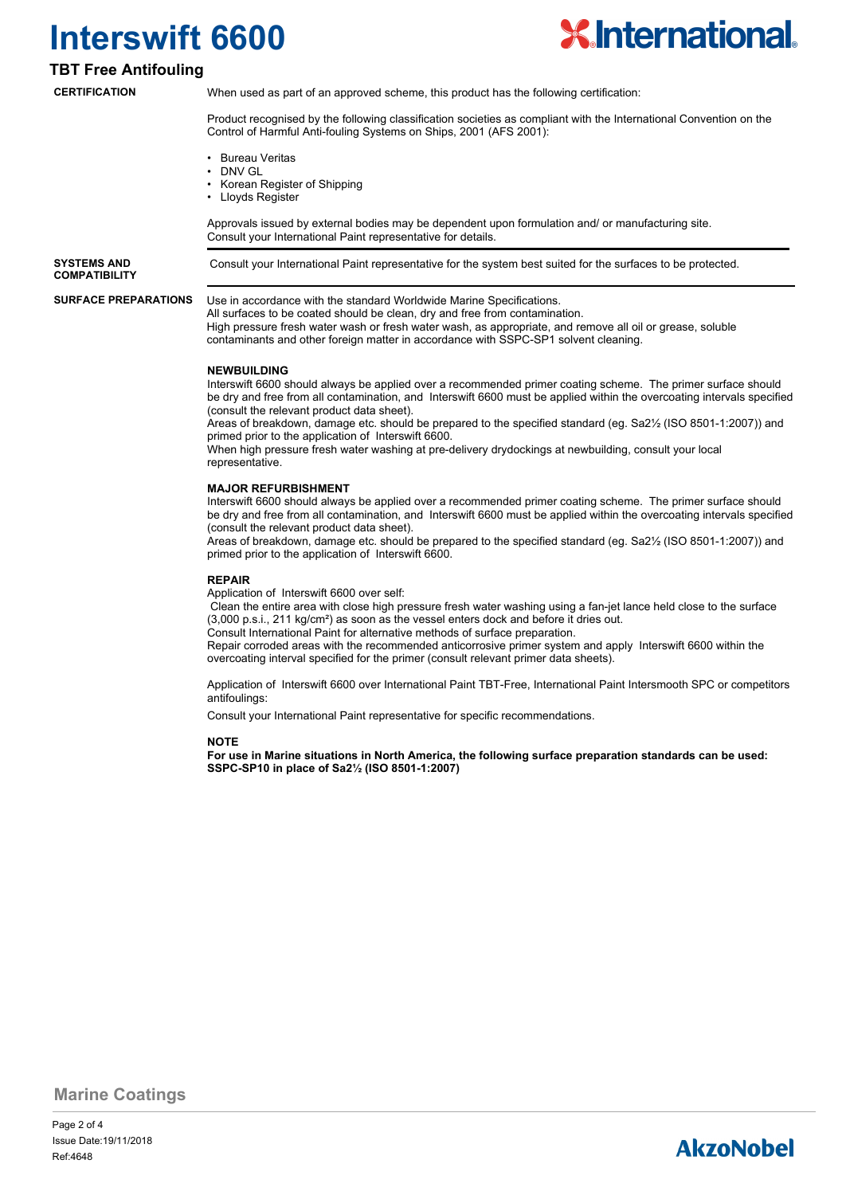

### **TBT Free Antifouling**

**CERTIFICATION**

When used as part of an approved scheme, this product has the following certification:

Product recognised by the following classification societies as compliant with the International Convention on the Control of Harmful Anti-fouling Systems on Ships, 2001 (AFS 2001):

- Bureau Veritas
- DNV GL
- Korean Register of Shipping
- Lloyds Register

Approvals issued by external bodies may be dependent upon formulation and/ or manufacturing site. Consult your International Paint representative for details.

**COMPATIBILITY**

**SYSTEMS AND** Consult your International Paint representative for the system best suited for the surfaces to be protected.

#### **SURFACE PREPARATIONS**

Use in accordance with the standard Worldwide Marine Specifications.

All surfaces to be coated should be clean, dry and free from contamination. High pressure fresh water wash or fresh water wash, as appropriate, and remove all oil or grease, soluble contaminants and other foreign matter in accordance with SSPC-SP1 solvent cleaning.

#### **NEWBUILDING**

Interswift 6600 should always be applied over a recommended primer coating scheme. The primer surface should be dry and free from all contamination, and Interswift 6600 must be applied within the overcoating intervals specified (consult the relevant product data sheet).

Areas of breakdown, damage etc. should be prepared to the specified standard (eg. Sa2½ (ISO 8501-1:2007)) and primed prior to the application of Interswift 6600.

When high pressure fresh water washing at pre-delivery drydockings at newbuilding, consult your local representative.

#### **MAJOR REFURBISHMENT**

Interswift 6600 should always be applied over a recommended primer coating scheme. The primer surface should be dry and free from all contamination, and Interswift 6600 must be applied within the overcoating intervals specified (consult the relevant product data sheet).

Areas of breakdown, damage etc. should be prepared to the specified standard (eg. Sa2½ (ISO 8501-1:2007)) and primed prior to the application of Interswift 6600.

#### **REPAIR**

Application of Interswift 6600 over self:

 Clean the entire area with close high pressure fresh water washing using a fan-jet lance held close to the surface (3,000 p.s.i., 211 kg/cm²) as soon as the vessel enters dock and before it dries out.

Consult International Paint for alternative methods of surface preparation.

Repair corroded areas with the recommended anticorrosive primer system and apply Interswift 6600 within the overcoating interval specified for the primer (consult relevant primer data sheets).

Application of Interswift 6600 over International Paint TBT-Free, International Paint Intersmooth SPC or competitors antifoulings:

Consult your International Paint representative for specific recommendations.

#### **NOTE**

**For use in Marine situations in North America, the following surface preparation standards can be used: SSPC-SP10 in place of Sa2½ (ISO 8501-1:2007)**

**Marine Coatings**

Page 2 of 4 Ref:4648 Issue Date:19/11/2018

## **AkzoNobel**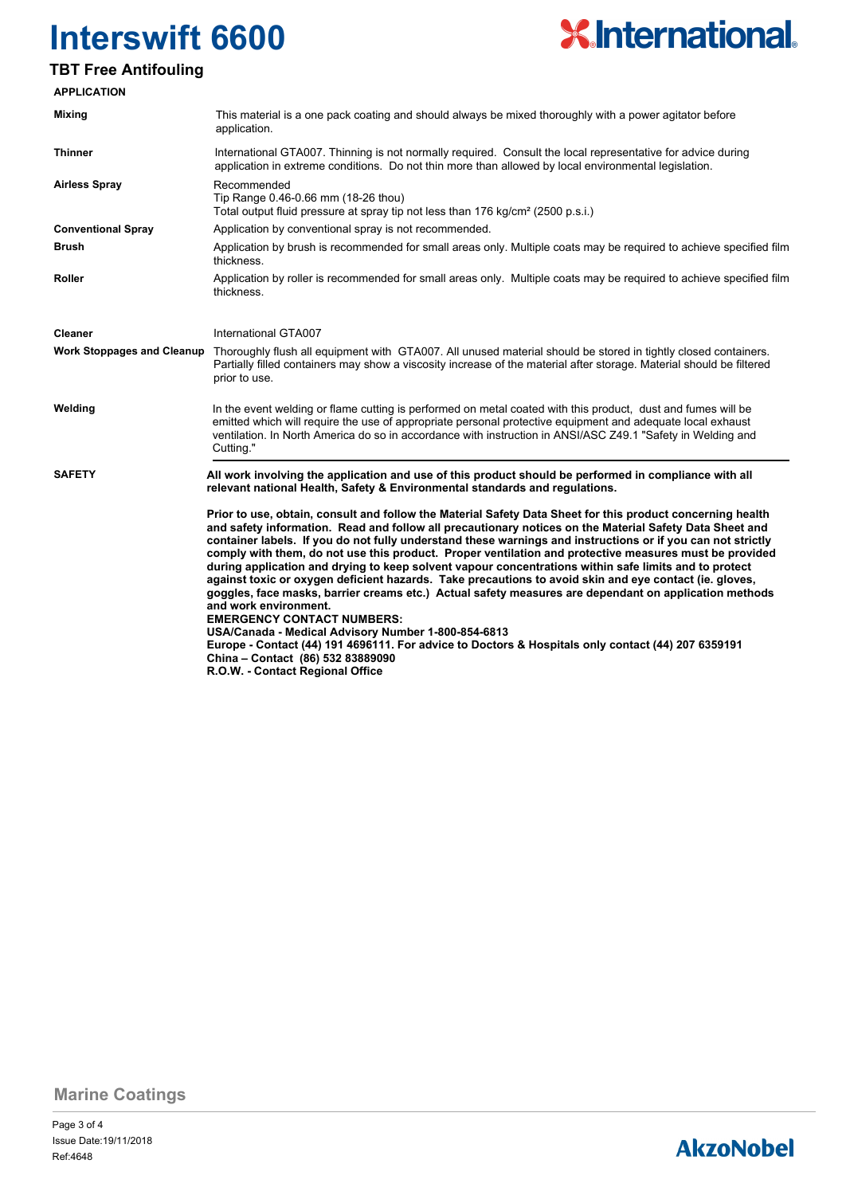

### **TBT Free Antifouling**

| <b>APPLICATION</b>                |                                                                                                                                                                                                                                                                                                                                                                                                                                                                                                                                                                                                                                                                                                                                                                                                                                                                                                                                                                                                                                                                                |  |  |  |  |  |
|-----------------------------------|--------------------------------------------------------------------------------------------------------------------------------------------------------------------------------------------------------------------------------------------------------------------------------------------------------------------------------------------------------------------------------------------------------------------------------------------------------------------------------------------------------------------------------------------------------------------------------------------------------------------------------------------------------------------------------------------------------------------------------------------------------------------------------------------------------------------------------------------------------------------------------------------------------------------------------------------------------------------------------------------------------------------------------------------------------------------------------|--|--|--|--|--|
| <b>Mixing</b>                     | This material is a one pack coating and should always be mixed thoroughly with a power agitator before<br>application.                                                                                                                                                                                                                                                                                                                                                                                                                                                                                                                                                                                                                                                                                                                                                                                                                                                                                                                                                         |  |  |  |  |  |
| Thinner                           | International GTA007. Thinning is not normally required. Consult the local representative for advice during<br>application in extreme conditions. Do not thin more than allowed by local environmental legislation.                                                                                                                                                                                                                                                                                                                                                                                                                                                                                                                                                                                                                                                                                                                                                                                                                                                            |  |  |  |  |  |
| <b>Airless Spray</b>              | Recommended<br>Tip Range 0.46-0.66 mm (18-26 thou)<br>Total output fluid pressure at spray tip not less than 176 kg/cm <sup>2</sup> (2500 p.s.i.)                                                                                                                                                                                                                                                                                                                                                                                                                                                                                                                                                                                                                                                                                                                                                                                                                                                                                                                              |  |  |  |  |  |
| <b>Conventional Spray</b>         | Application by conventional spray is not recommended.                                                                                                                                                                                                                                                                                                                                                                                                                                                                                                                                                                                                                                                                                                                                                                                                                                                                                                                                                                                                                          |  |  |  |  |  |
| <b>Brush</b>                      | Application by brush is recommended for small areas only. Multiple coats may be required to achieve specified film<br>thickness.                                                                                                                                                                                                                                                                                                                                                                                                                                                                                                                                                                                                                                                                                                                                                                                                                                                                                                                                               |  |  |  |  |  |
| Roller                            | Application by roller is recommended for small areas only. Multiple coats may be required to achieve specified film<br>thickness.                                                                                                                                                                                                                                                                                                                                                                                                                                                                                                                                                                                                                                                                                                                                                                                                                                                                                                                                              |  |  |  |  |  |
| Cleaner                           | International GTA007                                                                                                                                                                                                                                                                                                                                                                                                                                                                                                                                                                                                                                                                                                                                                                                                                                                                                                                                                                                                                                                           |  |  |  |  |  |
| <b>Work Stoppages and Cleanup</b> | Thoroughly flush all equipment with GTA007. All unused material should be stored in tightly closed containers.<br>Partially filled containers may show a viscosity increase of the material after storage. Material should be filtered<br>prior to use.                                                                                                                                                                                                                                                                                                                                                                                                                                                                                                                                                                                                                                                                                                                                                                                                                        |  |  |  |  |  |
| Welding                           | In the event welding or flame cutting is performed on metal coated with this product, dust and fumes will be<br>emitted which will require the use of appropriate personal protective equipment and adequate local exhaust<br>ventilation. In North America do so in accordance with instruction in ANSI/ASC Z49.1 "Safety in Welding and<br>Cutting."                                                                                                                                                                                                                                                                                                                                                                                                                                                                                                                                                                                                                                                                                                                         |  |  |  |  |  |
| <b>SAFETY</b>                     | All work involving the application and use of this product should be performed in compliance with all<br>relevant national Health, Safety & Environmental standards and regulations.                                                                                                                                                                                                                                                                                                                                                                                                                                                                                                                                                                                                                                                                                                                                                                                                                                                                                           |  |  |  |  |  |
|                                   | Prior to use, obtain, consult and follow the Material Safety Data Sheet for this product concerning health<br>and safety information. Read and follow all precautionary notices on the Material Safety Data Sheet and<br>container labels. If you do not fully understand these warnings and instructions or if you can not strictly<br>comply with them, do not use this product. Proper ventilation and protective measures must be provided<br>during application and drying to keep solvent vapour concentrations within safe limits and to protect<br>against toxic or oxygen deficient hazards. Take precautions to avoid skin and eye contact (ie. gloves,<br>goggles, face masks, barrier creams etc.) Actual safety measures are dependant on application methods<br>and work environment.<br><b>EMERGENCY CONTACT NUMBERS:</b><br>USA/Canada - Medical Advisory Number 1-800-854-6813<br>Europe - Contact (44) 191 4696111. For advice to Doctors & Hospitals only contact (44) 207 6359191<br>China - Contact (86) 532 83889090<br>R.O.W. - Contact Regional Office |  |  |  |  |  |

**Marine Coatings**

## **AkzoNobel**